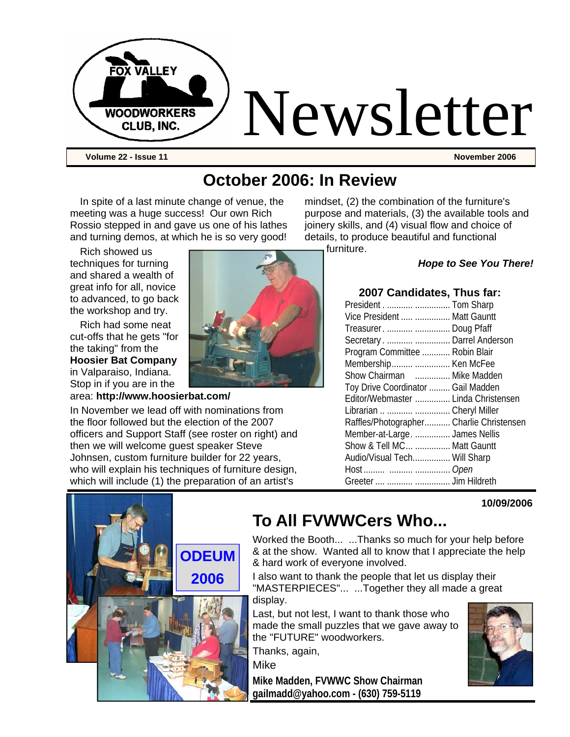

### **October 2006: In Review**

In spite of a last minute change of venue, the meeting was a huge success! Our own Rich Rossio stepped in and gave us one of his lathes and turning demos, at which he is so very good!

Rich showed us techniques for turning and shared a wealth of great info for all, novice to advanced, to go back the workshop and try.

Rich had some neat cut-offs that he gets "for the taking" from the **Hoosier Bat Company**  in Valparaiso, Indiana. Stop in if you are in the

#### area: **http://www.hoosierbat.com/**

In November we lead off with nominations from the floor followed but the election of the 2007 officers and Support Staff (see roster on right) and then we will welcome guest speaker Steve Johnsen, custom furniture builder for 22 years, who will explain his techniques of furniture design, which will include (1) the preparation of an artist's

**ODEUM** 

**2006** 

mindset, (2) the combination of the furniture's purpose and materials, (3) the available tools and joinery skills, and (4) visual flow and choice of details, to produce beautiful and functional furniture.

#### *Hope to See You There!*

| 2007 Candidates, Thus far:               |  |
|------------------------------------------|--|
| President  Tom Sharp                     |  |
| Vice President   Matt Gauntt             |  |
| Treasurer.   Doug Pfaff                  |  |
| Secretary.   Darrel Anderson             |  |
| Program Committee  Robin Blair           |  |
| Membership  Ken McFee                    |  |
| Show Chairman  Mike Madden               |  |
| Toy Drive Coordinator  Gail Madden       |  |
| Editor/Webmaster  Linda Christensen      |  |
| Librarian    Cheryl Miller               |  |
| Raffles/Photographer Charlie Christensen |  |
| Member-at-Large.  James Nellis           |  |
| Show & Tell MC  Matt Gauntt              |  |
| Audio/Visual Tech Will Sharp             |  |
|                                          |  |
| Greeter    Jim Hildreth                  |  |

#### **10/09/2006**

### **To All FVWWCers Who...**

Worked the Booth... ...Thanks so much for your help before & at the show. Wanted all to know that I appreciate the help & hard work of everyone involved.

I also want to thank the people that let us display their "MASTERPIECES"... ...Together they all made a great display.

Last, but not lest, I want to thank those who made the small puzzles that we gave away to the "FUTURE" woodworkers.

Thanks, again,

Mike

**Mike Madden, FVWWC Show Chairman gailmadd@yahoo.com - (630) 759-5119** 





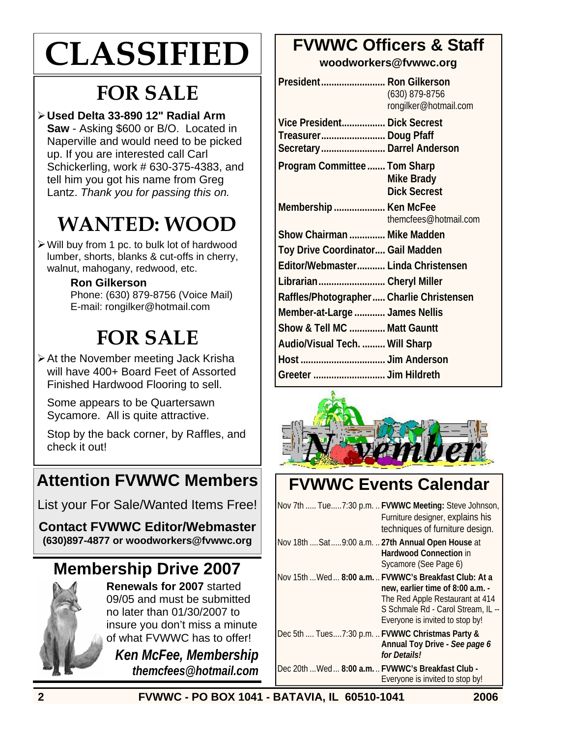# **CLASSIFIED**

## **FOR SALE**

¾ **Used Delta 33-890 12" Radial Arm** 

**Saw** - Asking \$600 or B/O. Located in Naperville and would need to be picked up. If you are interested call Carl Schickerling, work # 630-375-4383, and tell him you got his name from Greg Lantz. *Thank you for passing this on.* 

# **WANTED: WOOD**

¾ Will buy from 1 pc. to bulk lot of hardwood lumber, shorts, blanks & cut-offs in cherry, walnut, mahogany, redwood, etc.

#### **Ron Gilkerson**

Phone: (630) 879-8756 (Voice Mail) E-mail: rongilker@hotmail.com

# **FOR SALE**

¾ At the November meeting Jack Krisha will have 400+ Board Feet of Assorted Finished Hardwood Flooring to sell.

Some appears to be Quartersawn Sycamore. All is quite attractive.

Stop by the back corner, by Raffles, and check it out!

### **Attention FVWWC Members**

List your For Sale/Wanted Items Free!

**Contact FVWWC Editor/Webmaster (630)897-4877 or woodworkers@fvwwc.org** 

### **Membership Drive 2007**



**Renewals for 2007** started 09/05 and must be submitted no later than 01/30/2007 to insure you don't miss a minute of what FVWWC has to offer!

*Ken McFee, Membership themcfees@hotmail.com*

### **FVWWC Officers & Staff**

**woodworkers@fvwwc.org** 

| President Ron Gilkerson                           | (630) 879-8756<br>rongilker@hotmail.com |
|---------------------------------------------------|-----------------------------------------|
| Vice President Dick Secrest                       |                                         |
| Treasurer Doug Pfaff<br>Secretary Darrel Anderson |                                         |
| Program Committee  Tom Sharp                      | Mike Brady<br><b>Dick Secrest</b>       |
| Membership  Ken McFee                             | themcfees@hotmail.com                   |
| Show Chairman  Mike Madden                        |                                         |
| Toy Drive Coordinator Gail Madden                 |                                         |
| Editor/Webmaster Linda Christensen                |                                         |
| Librarian Cheryl Miller                           |                                         |
| Raffles/Photographer Charlie Christensen          |                                         |
| Member-at-Large  James Nellis                     |                                         |
| Show & Tell MC  Matt Gauntt                       |                                         |
| Audio/Visual Tech.  Will Sharp                    |                                         |
|                                                   |                                         |
| Greeter  Jim Hildreth                             |                                         |



### **FVWWC Events Calendar**

|                                                     | Nov 7th  Tue 7:30 p.m.  FVWWC Meeting: Steve Johnson,<br>Furniture designer, explains his<br>techniques of furniture design.                                                                           |
|-----------------------------------------------------|--------------------------------------------------------------------------------------------------------------------------------------------------------------------------------------------------------|
| Nov 18th  Sat  9:00 a.m.  27th Annual Open House at | <b>Hardwood Connection in</b><br>Sycamore (See Page 6)                                                                                                                                                 |
|                                                     | Nov 15th  Wed  8:00 a.m.  FVWWC's Breakfast Club: At a<br>new, earlier time of 8:00 a.m. -<br>The Red Apple Restaurant at 414<br>S Schmale Rd - Carol Stream, IL --<br>Everyone is invited to stop by! |
| Dec 5th  Tues7:30 p.m.  FVWWC Christmas Party &     | Annual Toy Drive - See page 6<br>for Details!                                                                                                                                                          |
| Dec 20th  Wed  8:00 a.m.  FVWWC's Breakfast Club -  | Everyone is invited to stop by!                                                                                                                                                                        |

**2 FVWWC - PO BOX 1041 - BATAVIA, IL 60510-1041 2006**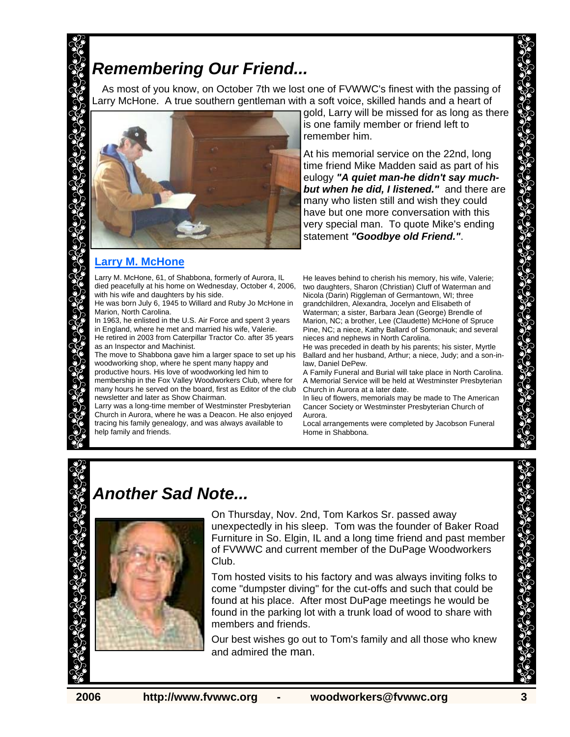### *Remembering Our Friend...*

As most of you know, on October 7th we lost one of FVWWC's finest with the passing of Larry McHone. A true southern gentleman with a soft voice, skilled hands and a heart of



gold, Larry will be missed for as long as there is one family member or friend left to remember him.

At his memorial service on the 22nd, long time friend Mike Madden said as part of his eulogy *"A quiet man-he didn't say muchbut when he did, I listened."* and there are many who listen still and wish they could have but one more conversation with this very special man. To quote Mike's ending statement *"Goodbye old Friend."*.

#### **Larry M. McHone**

Larry M. McHone, 61, of Shabbona, formerly of Aurora, IL died peacefully at his home on Wednesday, October 4, 2006, with his wife and daughters by his side.

He was born July 6, 1945 to Willard and Ruby Jo McHone in Marion, North Carolina.

In 1963, he enlisted in the U.S. Air Force and spent 3 years in England, where he met and married his wife, Valerie.

He retired in 2003 from Caterpillar Tractor Co. after 35 years as an Inspector and Machinist.

The move to Shabbona gave him a larger space to set up his woodworking shop, where he spent many happy and productive hours. His love of woodworking led him to membership in the Fox Valley Woodworkers Club, where for many hours he served on the board, first as Editor of the club newsletter and later as Show Chairman.

Larry was a long-time member of Westminster Presbyterian Church in Aurora, where he was a Deacon. He also enjoyed tracing his family genealogy, and was always available to help family and friends.

He leaves behind to cherish his memory, his wife, Valerie; two daughters, Sharon (Christian) Cluff of Waterman and Nicola (Darin) Riggleman of Germantown, WI; three grandchildren, Alexandra, Jocelyn and Elisabeth of Waterman; a sister, Barbara Jean (George) Brendle of Marion, NC; a brother, Lee (Claudette) McHone of Spruce Pine, NC; a niece, Kathy Ballard of Somonauk; and several nieces and nephews in North Carolina.

He was preceded in death by his parents; his sister, Myrtle Ballard and her husband, Arthur; a niece, Judy; and a son-inlaw, Daniel DePew.

A Family Funeral and Burial will take place in North Carolina. A Memorial Service will be held at Westminster Presbyterian Church in Aurora at a later date.

In lieu of flowers, memorials may be made to The American Cancer Society or Westminster Presbyterian Church of Aurora.

Local arrangements were completed by Jacobson Funeral Home in Shabbona.



*Another Sad Note...* 



On Thursday, Nov. 2nd, Tom Karkos Sr. passed away unexpectedly in his sleep. Tom was the founder of Baker Road Furniture in So. Elgin, IL and a long time friend and past member of FVWWC and current member of the DuPage Woodworkers Club.

Tom hosted visits to his factory and was always inviting folks to come "dumpster diving" for the cut-offs and such that could be found at his place. After most DuPage meetings he would be found in the parking lot with a trunk load of wood to share with members and friends.

Our best wishes go out to Tom's family and all those who knew and admired the man.



وی می دی دی دی دی دی دی دی دی دی.<br>او دی دی دی دی دی دی دی دی دی دی دی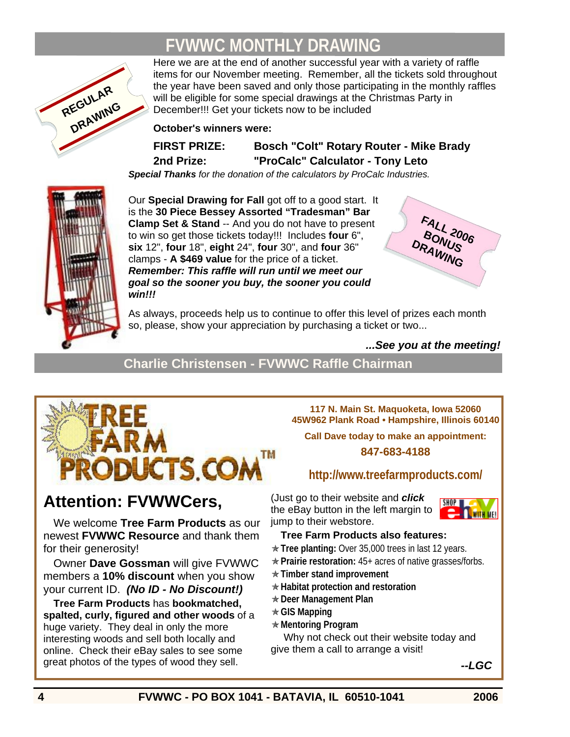### **FVWWC MONTHLY DRAWING**



Here we are at the end of another successful year with a variety of raffle items for our November meeting. Remember, all the tickets sold throughout the year have been saved and only those participating in the monthly raffles will be eligible for some special drawings at the Christmas Party in December!!! Get your tickets now to be included

**October's winners were:** 

**FIRST PRIZE: Bosch "Colt" Rotary Router - Mike Brady 2nd Prize: "ProCalc" Calculator - Tony Leto** 

*Special Thanks for the donation of the calculators by ProCalc Industries.* 



Our **Special Drawing for Fall** got off to a good start. It is the **30 Piece Bessey Assorted "Tradesman" Bar Clamp Set & Stand** -- And you do not have to present to win so get those tickets today!!! Includes **four** 6", **six** 12", **four** 18", **eight** 24", **four** 30", and **four** 36" clamps - **A \$469 value** for the price of a ticket. *Remember: This raffle will run until we meet our goal so the sooner you buy, the sooner you could win!!!* 



As always, proceeds help us to continue to offer this level of prizes each month so, please, show your appreciation by purchasing a ticket or two...

#### *...See you at the meeting!*

#### **Charlie Christensen - FVWWC Raffle Chairman**



### **Attention: FVWWCers,**

We welcome **Tree Farm Products** as our newest **FVWWC Resource** and thank them for their generosity!

Owner **Dave Gossman** will give FVWWC members a **10% discount** when you show your current ID. *(No ID - No Discount!)* 

**Tree Farm Products** has **bookmatched, spalted, curly, figured and other woods** of a huge variety. They deal in only the more interesting woods and sell both locally and online. Check their eBay sales to see some great photos of the types of wood they sell.

**117 N. Main St. Maquoketa, Iowa 52060 45W962 Plank Road • Hampshire, Illinois 60140** 

**Call Dave today to make an appointment:** 

**847-683-4188**

#### **http://www.treefarmproducts.com/**

(Just go to their website and *click* the eBay button in the left margin to jump to their webstore.



#### **Tree Farm Products also features:**

\* Tree planting: Over 35,000 trees in last 12 years.

- **★ Prairie restoration: 45+ acres of native grasses/forbs.**
- z **Timber stand improvement**
- $*$  Habitat protection and restoration
- z **Deer Management Plan**
- z **GIS Mapping**
- z **Mentoring Program**

 Why not check out their website today and give them a call to arrange a visit!

*--LGC*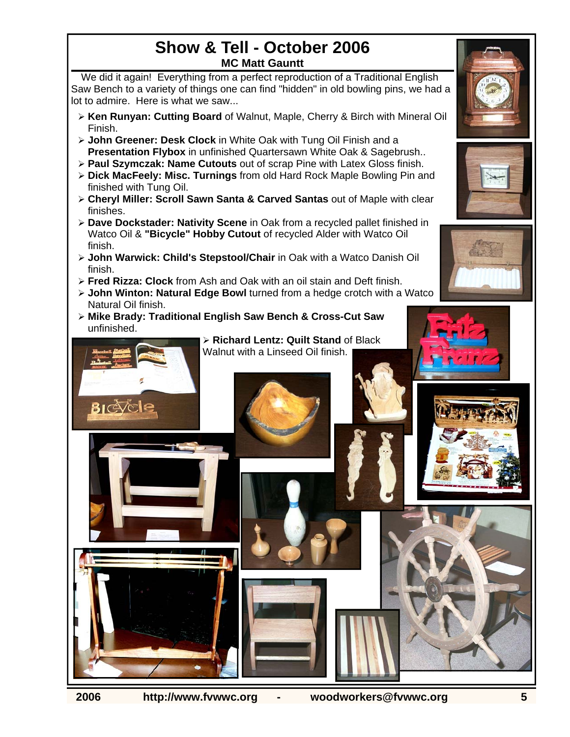#### **Show & Tell - October 2006 MC Matt Gauntt**

We did it again! Everything from a perfect reproduction of a Traditional English Saw Bench to a variety of things one can find "hidden" in old bowling pins, we had a lot to admire. Here is what we saw...

- ¾ **Ken Runyan: Cutting Board** of Walnut, Maple, Cherry & Birch with Mineral Oil Finish.
- ¾ **John Greener: Desk Clock** in White Oak with Tung Oil Finish and a **Presentation Flybox** in unfinished Quartersawn White Oak & Sagebrush..
- ¾ **Paul Szymczak: Name Cutouts** out of scrap Pine with Latex Gloss finish.
- ¾ **Dick MacFeely: Misc. Turnings** from old Hard Rock Maple Bowling Pin and finished with Tung Oil.
- ¾ **Cheryl Miller: Scroll Sawn Santa & Carved Santas** out of Maple with clear finishes.
- ¾ **Dave Dockstader: Nativity Scene** in Oak from a recycled pallet finished in Watco Oil & **"Bicycle" Hobby Cutout** of recycled Alder with Watco Oil finish.
- ¾ **John Warwick: Child's Stepstool/Chair** in Oak with a Watco Danish Oil finish.
- ¾ **Fred Rizza: Clock** from Ash and Oak with an oil stain and Deft finish.
- ¾ **John Winton: Natural Edge Bowl** turned from a hedge crotch with a Watco Natural Oil finish.
- ¾ **Mike Brady: Traditional English Saw Bench & Cross-Cut Saw**  unfinished.

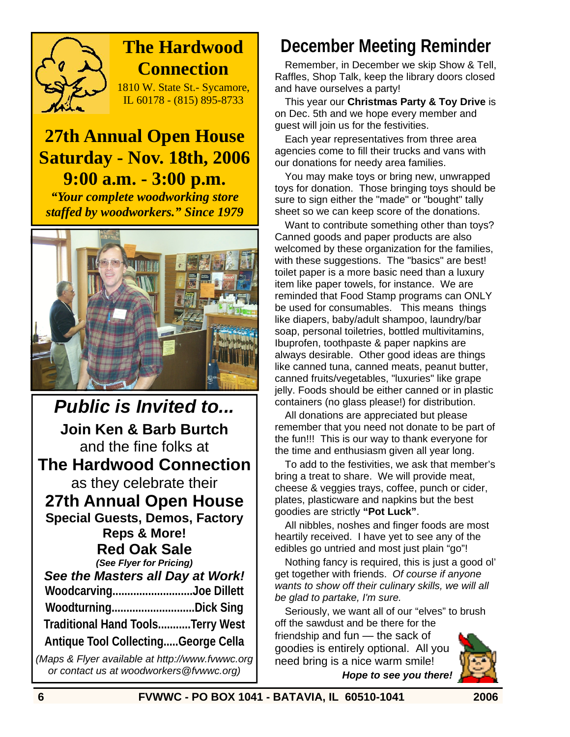

### **The Hardwood Connection**

1810 W. State St.- Sycamore, IL 60178 - (815) 895-8733

### **27th Annual Open House Saturday - Nov. 18th, 2006 9:00 a.m. - 3:00 p.m.**

*"Your complete woodworking store staffed by woodworkers." Since 1979* 



*Public is Invited to...*  **Join Ken & Barb Burtch**  and the fine folks at **The Hardwood Connection**  as they celebrate their **27th Annual Open House Special Guests, Demos, Factory Reps & More! Red Oak Sale**  *(See Flyer for Pricing) See the Masters all Day at Work!*  **Woodcarving...........................Joe Dillett Woodturning............................Dick Sing Traditional Hand Tools...........Terry West Antique Tool Collecting.....George Cella**  *(Maps & Flyer available at http://www.fvwwc.org* 

*or contact us at woodworkers@fvwwc.org)* 

### **December Meeting Reminder**

Remember, in December we skip Show & Tell, Raffles, Shop Talk, keep the library doors closed and have ourselves a party!

This year our **Christmas Party & Toy Drive** is on Dec. 5th and we hope every member and guest will join us for the festivities.

Each year representatives from three area agencies come to fill their trucks and vans with our donations for needy area families.

You may make toys or bring new, unwrapped toys for donation. Those bringing toys should be sure to sign either the "made" or "bought" tally sheet so we can keep score of the donations.

Want to contribute something other than toys? Canned goods and paper products are also welcomed by these organization for the families, with these suggestions. The "basics" are best! toilet paper is a more basic need than a luxury item like paper towels, for instance. We are reminded that Food Stamp programs can ONLY be used for consumables. This means things like diapers, baby/adult shampoo, laundry/bar soap, personal toiletries, bottled multivitamins, Ibuprofen, toothpaste & paper napkins are always desirable. Other good ideas are things like canned tuna, canned meats, peanut butter, canned fruits/vegetables, "luxuries" like grape jelly. Foods should be either canned or in plastic containers (no glass please!) for distribution.

All donations are appreciated but please remember that you need not donate to be part of the fun!!! This is our way to thank everyone for the time and enthusiasm given all year long.

To add to the festivities, we ask that member's bring a treat to share. We will provide meat, cheese & veggies trays, coffee, punch or cider, plates, plasticware and napkins but the best goodies are strictly **"Pot Luck"**.

All nibbles, noshes and finger foods are most heartily received. I have yet to see any of the edibles go untried and most just plain "go"!

Nothing fancy is required, this is just a good ol' get together with friends. *Of course if anyone wants to show off their culinary skills, we will all be glad to partake, I'm sure.* 

Seriously, we want all of our "elves" to brush off the sawdust and be there for the friendship and fun — the sack of goodies is entirely optional. All you need bring is a nice warm smile!

*Hope to see you there!* 

**6 FVWWC - PO BOX 1041 - BATAVIA, IL 60510-1041 2006**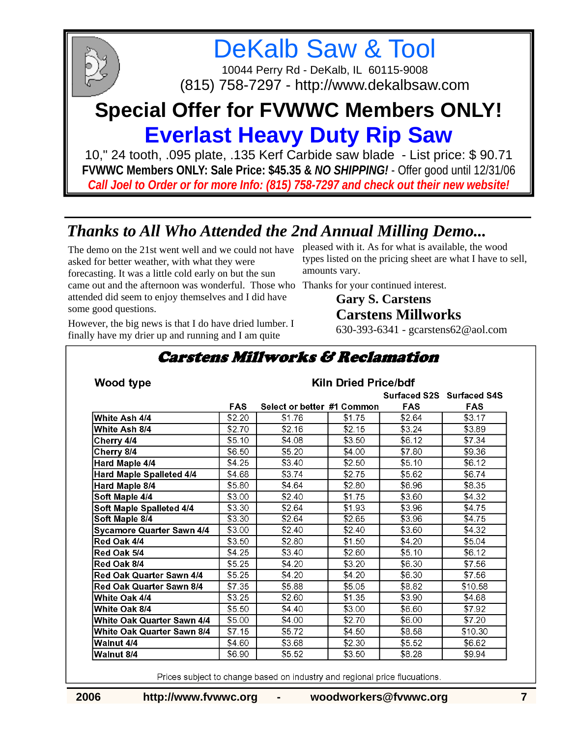DeKalb Saw & Tool 10044 Perry Rd - DeKalb, IL 60115-9008

(815) 758-7297 - http://www.dekalbsaw.com

# **Special Offer for FVWWC Members ONLY! Everlast Heavy Duty Rip Saw**

10," 24 tooth, .095 plate, .135 Kerf Carbide saw blade - List price: \$ 90.71 **FVWWC Members ONLY: Sale Price: \$45.35 &** *NO SHIPPING!* - Offer good until 12/31/06 *Call Joel to Order or for more Info: (815) 758-7297 and check out their new website!*

### *Thanks to All Who Attended the 2nd Annual Milling Demo...*

The demo on the 21st went well and we could not have asked for better weather, with what they were forecasting. It was a little cold early on but the sun came out and the afternoon was wonderful. Those who Thanks for your continued interest. attended did seem to enjoy themselves and I did have some good questions.

pleased with it. As for what is available, the wood types listed on the pricing sheet are what I have to sell, amounts vary.

**Gary S. Carstens Carstens Millworks**

However, the big news is that I do have dried lumber. I finally have my drier up and running and I am quite

630-393-6341 - gcarstens62@aol.com

#### **Carstens Millworks & Reclamation**

#### Wood type

#### **Kiln Dried Price/bdf**

Surfaced S2S Surfaced S4S Select or better #1 Common **FAS FAS FAS** White Ash 4/4  $$2.64$  $$2.20$  $$1.76$ \$1.75 \$3.17 White Ash 8/4 \$2.70  $$2.16$  $$2.15$ \$3.24 \$3.89 Cherry 4/4  $$5.10$ \$4.08 \$3.50 \$6.12 \$7.34  $$5.20$  $$7.80$  $$9.36$ Cherry 8/4  $$6.50$  $$4.00$ Hard Maple 4/4  $$4.25$ \$3.40  $$2.50$  $$5.10$  $$6.12$ Hard Maple Spalleted 4/4 \$4.68 \$3.74 \$2.75 \$5.62 \$6.74 Hard Maple 8/4 \$5.80 \$4.64 \$2.80 \$6.96 \$8.35 Soft Maple 4/4 \$3.00 \$2.40  $$1.75$ \$3.60 \$4.32 Soft Maple Spalleted 4/4 \$2.64 \$1.93 \$3.96 \$4.75  $$3.30$ Soft Maple 8/4  $$3.30$ \$2.64 \$2.65 \$3.96 \$4.75  $$3.00$  $$2.40$  $$2.40$  $$3.60$  $$4.32$ **Sycamore Quarter Sawn 4/4** Red Oak 4/4 \$3.50 \$2.80  $$1.50$ \$4.20 \$5.04 Red Oak 5/4 \$4.25 \$3.40 \$2.60  $$5.10$ \$6.12 Red Oak 8/4  $56.30$  $$5.25$ \$4.20 \$3.20 \$7.56  $$4.20$  $$4.20$  $$6,30$ Red Oak Quarter Sawn 4/4  $$5.25$ \$7.56 Red Oak Quarter Sawn 8/4  $$7.35$  $$5.88$ \$5.05 \$8.82 \$10.58 White Oak 4/4 \$3.25 \$2.60 \$1.35 \$3.90 \$4.68 **White Oak 8/4**  $$4.40$  $$6.60$  $\sqrt{$7.92}$ \$5.50 \$3.00 White Oak Quarter Sawn 4/4  $$5.00$  $$4.00$  $$6.00$ \$2.70 \$7.20 White Oak Quarter Sawn 8/4  $$7.15$ \$5.72 \$4.50 \$8.58 \$10.30 Walnut 4/4  $$4.60$  $$3.68$  $$2.30$  $$5.52$ \$6.62 Walnut 8/4 \$6.90 \$5.52 \$3.50 \$8.28 \$9.94

Prices subject to change based on industry and regional price flucuations.